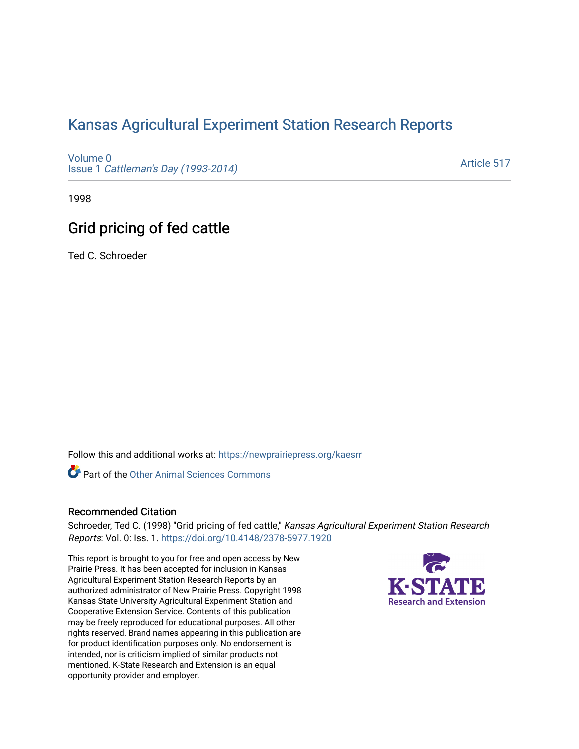# [Kansas Agricultural Experiment Station Research Reports](https://newprairiepress.org/kaesrr)

[Volume 0](https://newprairiepress.org/kaesrr/vol0) Issue 1 [Cattleman's Day \(1993-2014\)](https://newprairiepress.org/kaesrr/vol0/iss1) 

[Article 517](https://newprairiepress.org/kaesrr/vol0/iss1/517) 

1998

# Grid pricing of fed cattle

Ted C. Schroeder

Follow this and additional works at: [https://newprairiepress.org/kaesrr](https://newprairiepress.org/kaesrr?utm_source=newprairiepress.org%2Fkaesrr%2Fvol0%2Fiss1%2F517&utm_medium=PDF&utm_campaign=PDFCoverPages) 

Part of the [Other Animal Sciences Commons](http://network.bepress.com/hgg/discipline/82?utm_source=newprairiepress.org%2Fkaesrr%2Fvol0%2Fiss1%2F517&utm_medium=PDF&utm_campaign=PDFCoverPages)

### Recommended Citation

Schroeder, Ted C. (1998) "Grid pricing of fed cattle," Kansas Agricultural Experiment Station Research Reports: Vol. 0: Iss. 1.<https://doi.org/10.4148/2378-5977.1920>

This report is brought to you for free and open access by New Prairie Press. It has been accepted for inclusion in Kansas Agricultural Experiment Station Research Reports by an authorized administrator of New Prairie Press. Copyright 1998 Kansas State University Agricultural Experiment Station and Cooperative Extension Service. Contents of this publication may be freely reproduced for educational purposes. All other rights reserved. Brand names appearing in this publication are for product identification purposes only. No endorsement is intended, nor is criticism implied of similar products not mentioned. K-State Research and Extension is an equal opportunity provider and employer.

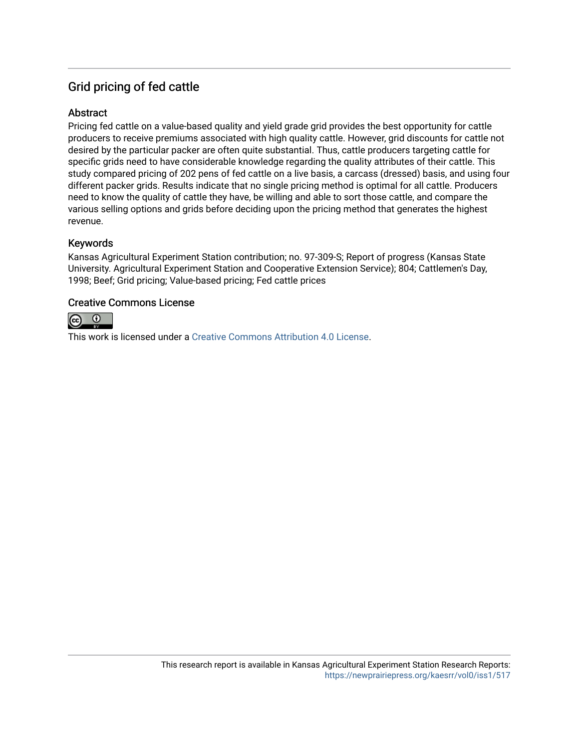# Grid pricing of fed cattle

## **Abstract**

Pricing fed cattle on a value-based quality and yield grade grid provides the best opportunity for cattle producers to receive premiums associated with high quality cattle. However, grid discounts for cattle not desired by the particular packer are often quite substantial. Thus, cattle producers targeting cattle for specific grids need to have considerable knowledge regarding the quality attributes of their cattle. This study compared pricing of 202 pens of fed cattle on a live basis, a carcass (dressed) basis, and using four different packer grids. Results indicate that no single pricing method is optimal for all cattle. Producers need to know the quality of cattle they have, be willing and able to sort those cattle, and compare the various selling options and grids before deciding upon the pricing method that generates the highest revenue.

### Keywords

Kansas Agricultural Experiment Station contribution; no. 97-309-S; Report of progress (Kansas State University. Agricultural Experiment Station and Cooperative Extension Service); 804; Cattlemen's Day, 1998; Beef; Grid pricing; Value-based pricing; Fed cattle prices

### Creative Commons License



This work is licensed under a [Creative Commons Attribution 4.0 License](https://creativecommons.org/licenses/by/4.0/).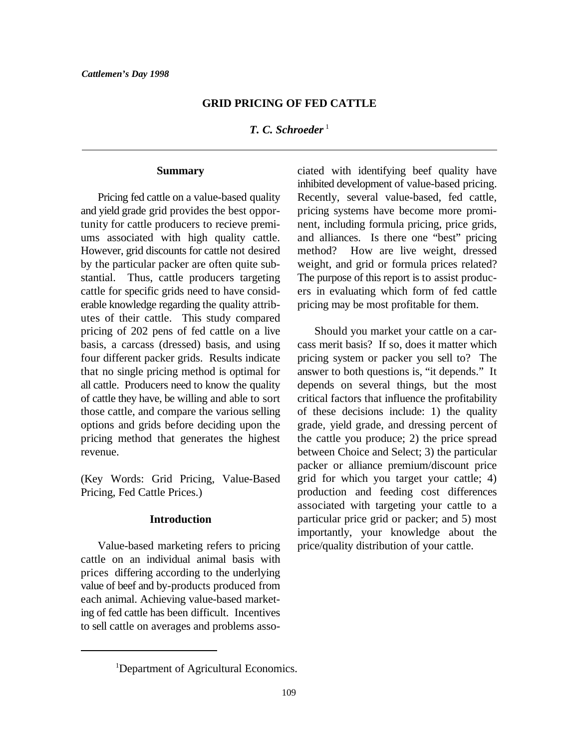#### **GRID PRICING OF FED CATTLE**

*T. C. Schroeder* <sup>1</sup>

#### **Summary**

and yield grade grid provides the best oppor- pricing systems have become more promitunity for cattle producers to recieve premi- nent, including formula pricing, price grids, ums associated with high quality cattle. and alliances. Is there one "best" pricing However, grid discounts for cattle not desired method? How are live weight, dressed by the particular packer are often quite sub- weight, and grid or formula prices related? stantial. Thus, cattle producers targeting The purpose of this report is to assist produccattle for specific grids need to have consid- ers in evaluating which form of fed cattle erable knowledge regarding the quality attrib- pricing may be most profitable for them. utes of their cattle. This study compared pricing of 202 pens of fed cattle on a live Should you market your cattle on a carbasis, a carcass (dressed) basis, and using cass merit basis? If so, does it matter which four different packer grids. Results indicate pricing system or packer you sell to? The that no single pricing method is optimal for answer to both questions is, "it depends." It all cattle. Producers need to know the quality depends on several things, but the most of cattle they have, be willing and able to sort critical factors that influence the profitability those cattle, and compare the various selling of these decisions include: 1) the quality options and grids before deciding upon the grade, yield grade, and dressing percent of pricing method that generates the highest the cattle you produce; 2) the price spread revenue. between Choice and Select; 3) the particular

(Key Words: Grid Pricing, Value-Based Pricing, Fed Cattle Prices.)

#### **Introduction**

Value-based marketing refers to pricing cattle on an individual animal basis with prices differing according to the underlying value of beef and by-products produced from each animal. Achieving value-based marketing of fed cattle has been difficult. Incentives to sell cattle on averages and problems asso-

Pricing fed cattle on a value-based quality Recently, several value-based, fed cattle, ciated with identifying beef quality have inhibited development of value-based pricing.

> packer or alliance premium/discount price grid for which you target your cattle; 4) production and feeding cost differences associated with targeting your cattle to a particular price grid or packer; and 5) most importantly, your knowledge about the price/quality distribution of your cattle.

<sup>&</sup>lt;sup>1</sup>Department of Agricultural Economics.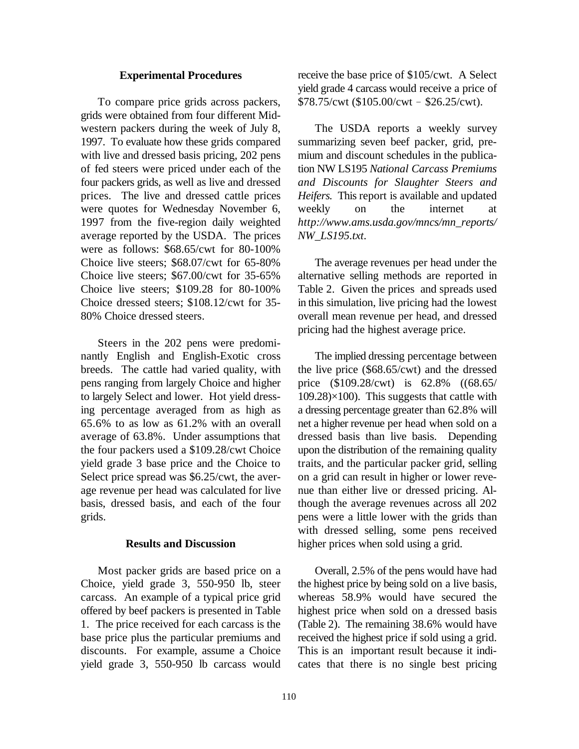#### **Experimental Procedures**

grids were obtained from four different Midwestern packers during the week of July 8, The USDA reports a weekly survey 1997. To evaluate how these grids compared summarizing seven beef packer, grid, prewith live and dressed basis pricing, 202 pens mium and discount schedules in the publicaof fed steers were priced under each of the tion NW LS195 *National Carcass Premiums* four packers grids, as well as live and dressed *and Discounts for Slaughter Steers and* prices. The live and dressed cattle prices *Heifers.* This report is available and updated were quotes for Wednesday November 6, weekly on the internet at 1997 from the five-region daily weighted *http://www.ams.usda.gov/mncs/mn\_reports/* average reported by the USDA. The prices *NW\_LS195.txt*. were as follows: \$68.65/cwt for 80-100% Choice live steers; \$68.07/cwt for 65-80% The average revenues per head under the Choice live steers; \$67.00/cwt for 35-65% alternative selling methods are reported in Choice live steers; \$109.28 for 80-100% Table 2. Given the prices and spreads used Choice dressed steers; \$108.12/cwt for 35- in this simulation, live pricing had the lowest 80% Choice dressed steers. overall mean revenue per head, and dressed

Steers in the 202 pens were predominantly English and English-Exotic cross The implied dressing percentage between breeds. The cattle had varied quality, with the live price (\$68.65/cwt) and the dressed pens ranging from largely Choice and higher price (\$109.28/cwt) is 62.8% ((68.65/ to largely Select and lower. Hot yield dress- 109.28)×100). This suggests that cattle with ing percentage averaged from as high as a dressing percentage greater than 62.8% will 65.6% to as low as 61.2% with an overall net a higher revenue per head when sold on a average of 63.8%. Under assumptions that dressed basis than live basis. Depending the four packers used a \$109.28/cwt Choice upon the distribution of the remaining quality yield grade 3 base price and the Choice to traits, and the particular packer grid, selling Select price spread was \$6.25/cwt, the aver- on a grid can result in higher or lower reveage revenue per head was calculated for live nue than either live or dressed pricing. Albasis, dressed basis, and each of the four though the average revenues across all 202 grids. pens were a little lower with the grids than

#### **Results and Discussion**

Choice, yield grade 3, 550-950 lb, steer the highest price by being sold on a live basis, carcass. An example of a typical price grid whereas 58.9% would have secured the offered by beef packers is presented in Table highest price when sold on a dressed basis 1. The price received for each carcass is the (Table 2). The remaining 38.6% would have base price plus the particular premiums and received the highest price if sold using a grid. discounts. For example, assume a Choice This is an important result because it indiyield grade 3, 550-950 lb carcass would cates that there is no single best pricing

To compare price grids across packers,  $$78.75/cwt ($105.00/cwt - $26.25/cwt)$ . receive the base price of \$105/cwt. A Select yield grade 4 carcass would receive a price of

pricing had the highest average price.

with dressed selling, some pens received higher prices when sold using a grid.

Most packer grids are based price on a Overall, 2.5% of the pens would have had